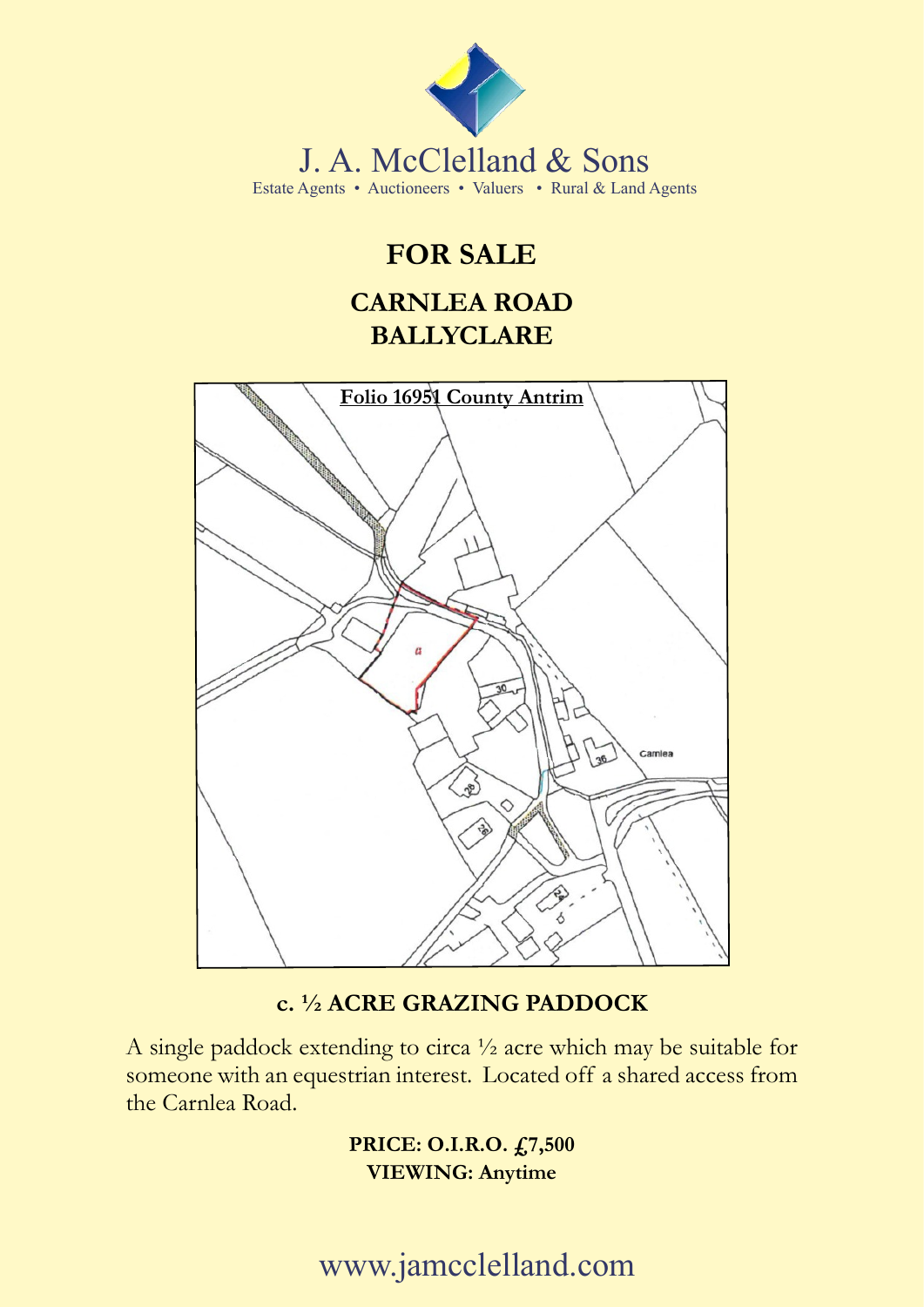

## **FOR SALE**

### **CARNLEA ROAD BALLYCLARE**



### **c. ½ ACRE GRAZING PADDOCK**

A single paddock extending to circa ½ acre which may be suitable for someone with an equestrian interest. Located off a shared access from the Carnlea Road.

> **PRICE: O.I.R.O. £7,500 VIEWING: Anytime**

www.jamcclelland.com